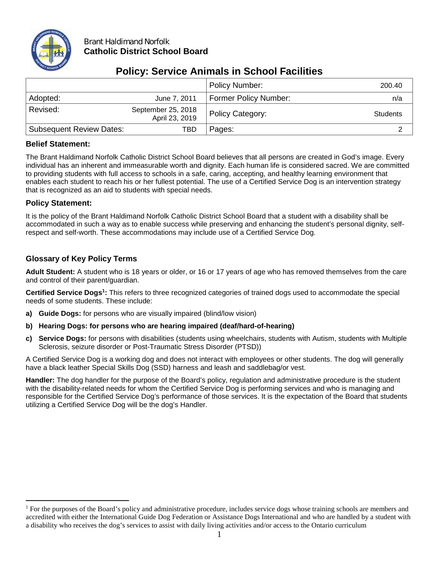

### Brant Haldimand Norfolk **Catholic District School Board**

|                                 |                                      | <b>Policy Number:</b>        | 200.40          |
|---------------------------------|--------------------------------------|------------------------------|-----------------|
| Adopted:                        | June 7, 2011                         | <b>Former Policy Number:</b> | n/a             |
| Revised:                        | September 25, 2018<br>April 23, 2019 | Policy Category:             | <b>Students</b> |
| <b>Subsequent Review Dates:</b> | TBD                                  | Pages:                       |                 |

# **Policy: Service Animals in School Facilities**

### **Belief Statement:**

The Brant Haldimand Norfolk Catholic District School Board believes that all persons are created in God's image. Every individual has an inherent and immeasurable worth and dignity. Each human life is considered sacred. We are committed to providing students with full access to schools in a safe, caring, accepting, and healthy learning environment that enables each student to reach his or her fullest potential. The use of a Certified Service Dog is an intervention strategy that is recognized as an aid to students with special needs.

## **Policy Statement:**

It is the policy of the Brant Haldimand Norfolk Catholic District School Board that a student with a disability shall be accommodated in such a way as to enable success while preserving and enhancing the student's personal dignity, selfrespect and self-worth. These accommodations may include use of a Certified Service Dog.

## **Glossary of Key Policy Terms**

**Adult Student:** A student who is 18 years or older, or 16 or 17 years of age who has removed themselves from the care and control of their parent/guardian.

**Certified Service Dogs1:** This refers to three recognized categories of trained dogs used to accommodate the special needs of some students. These include:

- **a) Guide Dogs:** for persons who are visually impaired (blind/low vision)
- **b) Hearing Dogs: for persons who are hearing impaired (deaf/hard-of-hearing)**
- **c) Service Dogs:** for persons with disabilities (students using wheelchairs, students with Autism, students with Multiple Sclerosis, seizure disorder or Post-Traumatic Stress Disorder (PTSD))

A Certified Service Dog is a working dog and does not interact with employees or other students. The dog will generally have a black leather Special Skills Dog (SSD) harness and leash and saddlebag/or vest.

**Handler:** The dog handler for the purpose of the Board's policy, regulation and administrative procedure is the student with the disability-related needs for whom the Certified Service Dog is performing services and who is managing and responsible for the Certified Service Dog's performance of those services. It is the expectation of the Board that students utilizing a Certified Service Dog will be the dog's Handler.

<sup>&</sup>lt;sup>1</sup> For the purposes of the Board's policy and administrative procedure, includes service dogs whose training schools are members and accredited with either the International Guide Dog Federation or Assistance Dogs International and who are handled by a student with a disability who receives the dog's services to assist with daily living activities and/or access to the Ontario curriculum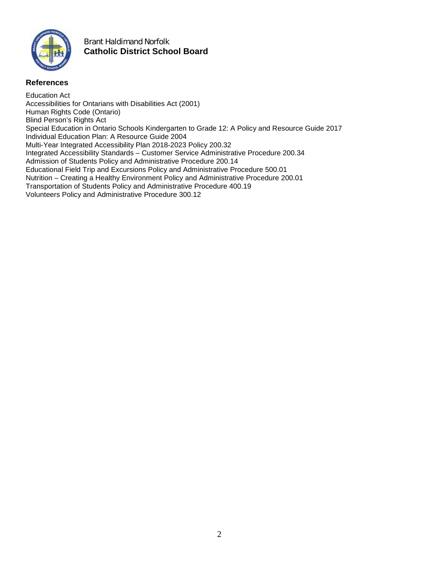

### Brant Haldimand Norfolk **Catholic District School Board**

#### **References**

Education Act Accessibilities for Ontarians with Disabilities Act (2001) Human Rights Code (Ontario) Blind Person's Rights Act Special Education in Ontario Schools Kindergarten to Grade 12: A Policy and Resource Guide 2017 Individual Education Plan: A Resource Guide 2004 Multi-Year Integrated Accessibility Plan 2018-2023 Policy 200.32 Integrated Accessibility Standards – Customer Service Administrative Procedure 200.34 Admission of Students Policy and Administrative Procedure 200.14 Educational Field Trip and Excursions Policy and Administrative Procedure 500.01 Nutrition – Creating a Healthy Environment Policy and Administrative Procedure 200.01 Transportation of Students Policy and Administrative Procedure 400.19 Volunteers Policy and Administrative Procedure 300.12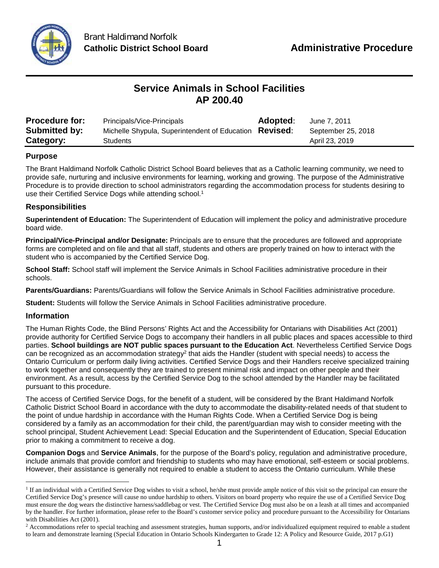

# **Service Animals in School Facilities AP 200.40**

| <b>Procedure for:</b> | Principals/Vice-Principals                             | <b>Adopted:</b> | June 7, 2011       |
|-----------------------|--------------------------------------------------------|-----------------|--------------------|
| <b>Submitted by:</b>  | Michelle Shypula, Superintendent of Education Revised: |                 | September 25, 2018 |
| Category:             | Students                                               |                 | April 23, 2019     |

#### **Purpose**

The Brant Haldimand Norfolk Catholic District School Board believes that as a Catholic learning community, we need to provide safe, nurturing and inclusive environments for learning, working and growing. The purpose of the Administrative Procedure is to provide direction to school administrators regarding the accommodation process for students desiring to use their Certified Service Dogs while attending school.<sup>1</sup>

#### **Responsibilities**

**Superintendent of Education:** The Superintendent of Education will implement the policy and administrative procedure board wide.

**Principal/Vice-Principal and/or Designate:** Principals are to ensure that the procedures are followed and appropriate forms are completed and on file and that all staff, students and others are properly trained on how to interact with the student who is accompanied by the Certified Service Dog.

**School Staff:** School staff will implement the Service Animals in School Facilities administrative procedure in their schools.

**Parents/Guardians:** Parents/Guardians will follow the Service Animals in School Facilities administrative procedure.

**Student:** Students will follow the Service Animals in School Facilities administrative procedure.

#### **Information**

The Human Rights Code, the Blind Persons' Rights Act and the Accessibility for Ontarians with Disabilities Act (2001) provide authority for Certified Service Dogs to accompany their handlers in all public places and spaces accessible to third parties. **School buildings are NOT public spaces pursuant to the Education Act**. Nevertheless Certified Service Dogs can be recognized as an accommodation strategy<sup>2</sup> that aids the Handler (student with special needs) to access the Ontario Curriculum or perform daily living activities. Certified Service Dogs and their Handlers receive specialized training to work together and consequently they are trained to present minimal risk and impact on other people and their environment. As a result, access by the Certified Service Dog to the school attended by the Handler may be facilitated pursuant to this procedure.

The access of Certified Service Dogs, for the benefit of a student, will be considered by the Brant Haldimand Norfolk Catholic District School Board in accordance with the duty to accommodate the disability-related needs of that student to the point of undue hardship in accordance with the Human Rights Code. When a Certified Service Dog is being considered by a family as an accommodation for their child, the parent/guardian may wish to consider meeting with the school principal, Student Achievement Lead: Special Education and the Superintendent of Education, Special Education prior to making a commitment to receive a dog.

**Companion Dogs** and **Service Animals**, for the purpose of the Board's policy, regulation and administrative procedure, include animals that provide comfort and friendship to students who may have emotional, self-esteem or social problems. However, their assistance is generally not required to enable a student to access the Ontario curriculum. While these

<sup>&</sup>lt;sup>1</sup> If an individual with a Certified Service Dog wishes to visit a school, he/she must provide ample notice of this visit so the principal can ensure the Certified Service Dog's presence will cause no undue hardship to others. Visitors on board property who require the use of a Certified Service Dog must ensure the dog wears the distinctive harness/saddlebag or vest. The Certified Service Dog must also be on a leash at all times and accompanied by the handler. For further information, please refer to the Board's customer service policy and procedure pursuant to the Accessibility for Ontarians with Disabilities Act (2001).

<sup>&</sup>lt;sup>2</sup> Accommodations refer to special teaching and assessment strategies, human supports, and/or individualized equipment required to enable a student to learn and demonstrate learning (Special Education in Ontario Schools Kindergarten to Grade 12: A Policy and Resource Guide, 2017 p.G1)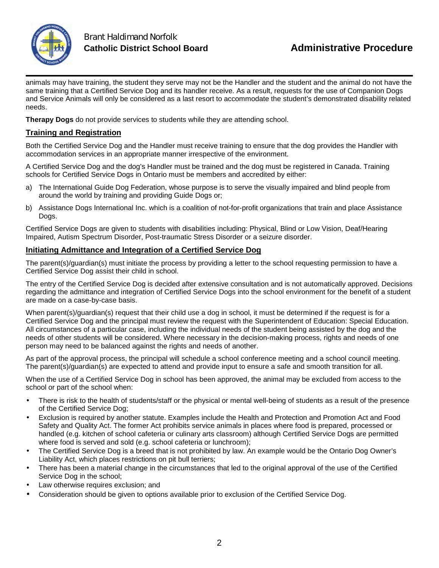

animals may have training, the student they serve may not be the Handler and the student and the animal do not have the same training that a Certified Service Dog and its handler receive. As a result, requests for the use of Companion Dogs and Service Animals will only be considered as a last resort to accommodate the student's demonstrated disability related needs.

**Therapy Dogs** do not provide services to students while they are attending school.

### **Training and Registration**

Both the Certified Service Dog and the Handler must receive training to ensure that the dog provides the Handler with accommodation services in an appropriate manner irrespective of the environment.

A Certified Service Dog and the dog's Handler must be trained and the dog must be registered in Canada. Training schools for Certified Service Dogs in Ontario must be members and accredited by either:

- a) The International Guide Dog Federation, whose purpose is to serve the visually impaired and blind people from around the world by training and providing Guide Dogs or;
- b) Assistance Dogs International Inc. which is a coalition of not-for-profit organizations that train and place Assistance Dogs.

Certified Service Dogs are given to students with disabilities including: Physical, Blind or Low Vision, Deaf/Hearing Impaired, Autism Spectrum Disorder, Post-traumatic Stress Disorder or a seizure disorder.

### **Initiating Admittance and Integration of a Certified Service Dog**

The parent(s)/guardian(s) must initiate the process by providing a letter to the school requesting permission to have a Certified Service Dog assist their child in school.

The entry of the Certified Service Dog is decided after extensive consultation and is not automatically approved. Decisions regarding the admittance and integration of Certified Service Dogs into the school environment for the benefit of a student are made on a case-by-case basis.

When parent(s)/quardian(s) request that their child use a dog in school, it must be determined if the request is for a Certified Service Dog and the principal must review the request with the Superintendent of Education: Special Education. All circumstances of a particular case, including the individual needs of the student being assisted by the dog and the needs of other students will be considered. Where necessary in the decision-making process, rights and needs of one person may need to be balanced against the rights and needs of another.

As part of the approval process, the principal will schedule a school conference meeting and a school council meeting. The parent(s)/guardian(s) are expected to attend and provide input to ensure a safe and smooth transition for all.

When the use of a Certified Service Dog in school has been approved, the animal may be excluded from access to the school or part of the school when:

- There is risk to the health of students/staff or the physical or mental well-being of students as a result of the presence of the Certified Service Dog;
- Exclusion is required by another statute. Examples include the Health and Protection and Promotion Act and Food Safety and Quality Act. The former Act prohibits service animals in places where food is prepared, processed or handled (e.g. kitchen of school cafeteria or culinary arts classroom) although Certified Service Dogs are permitted where food is served and sold (e.g. school cafeteria or lunchroom);
- The Certified Service Dog is a breed that is not prohibited by law. An example would be the Ontario Dog Owner's Liability Act, which places restrictions on pit bull terriers;
- There has been a material change in the circumstances that led to the original approval of the use of the Certified Service Dog in the school;
- Law otherwise requires exclusion; and
- Consideration should be given to options available prior to exclusion of the Certified Service Dog.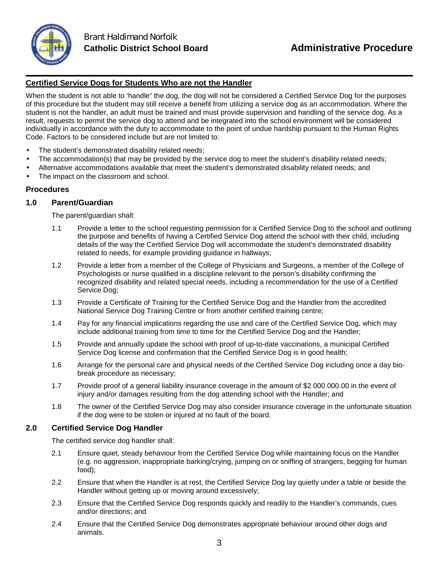

### **Certified Service Dogs for Students Who are not the Handler**

When the student is not able to 'handle" the dog, the dog will not be considered a Certified Service Dog for the purposes of this procedure but the student may still receive a benefit from utilizing a service dog as an accommodation. Where the student is not the handler, an adult must be trained and must provide supervision and handling of the service dog. As a result, requests to permit the service dog to attend and be integrated into the school environment will be considered individually in accordance with the duty to accommodate to the point of undue hardship pursuant to the Human Rights Code. Factors to be considered include but are not limited to:

- The student's demonstrated disability related needs;
- The accommodation(s) that may be provided by the service dog to meet the student's disability related needs;
- Alternative accommodations available that meet the student's demonstrated disability related needs; and
- The impact on the classroom and school.

#### **Procedures**

#### **1.0 Parent/Guardian**

The parent/guardian shall:

- 1.1 Provide a letter to the school requesting permission for a Certified Service Dog to the school and outlining the purpose and benefits of having a Certified Service Dog attend the school with their child, including details of the way the Certified Service Dog will accommodate the student's demonstrated disability related to needs, for example providing guidance in hallways;
- 1.2 Provide a letter from a member of the College of Physicians and Surgeons, a member of the College of Psychologists or nurse qualified in a discipline relevant to the person's disability confirming the recognized disability and related special needs, including a recommendation for the use of a Certified Service Dog;
- 1.3 Provide a Certificate of Training for the Certified Service Dog and the Handler from the accredited National Service Dog Training Centre or from another certified training centre;
- 1.4 Pay for any financial implications regarding the use and care of the Certified Service Dog, which may include additional training from time to time for the Certified Service Dog and the Handler;
- 1.5 Provide and annually update the school with proof of up-to-date vaccinations, a municipal Certified Service Dog license and confirmation that the Certified Service Dog is in good health;
- 1.6 Arrange for the personal care and physical needs of the Certified Service Dog including once a day biobreak procedure as necessary;
- 1.7 Provide proof of a general liability insurance coverage in the amount of \$2 000 000.00 in the event of injury and/or damages resulting from the dog attending school with the Handler; and
- 1.8 The owner of the Certified Service Dog may also consider insurance coverage in the unfortunate situation if the dog were to be stolen or injured at no fault of the board.

#### **2.0 Certified Service Dog Handler**

The certified service dog handler shall:

- 2.1 Ensure quiet, steady behaviour from the Certified Service Dog while maintaining focus on the Handler (e.g. no aggression, inappropriate barking/crying, jumping on or sniffing of strangers, begging for human food);
- 2.2 Ensure that when the Handler is at rest, the Certified Service Dog lay quietly under a table or beside the Handler without getting up or moving around excessively;
- 2.3 Ensure that the Certified Service Dog responds quickly and readily to the Handler's commands, cues and/or directions; and
- 2.4 Ensure that the Certified Service Dog demonstrates appropriate behaviour around other dogs and animals.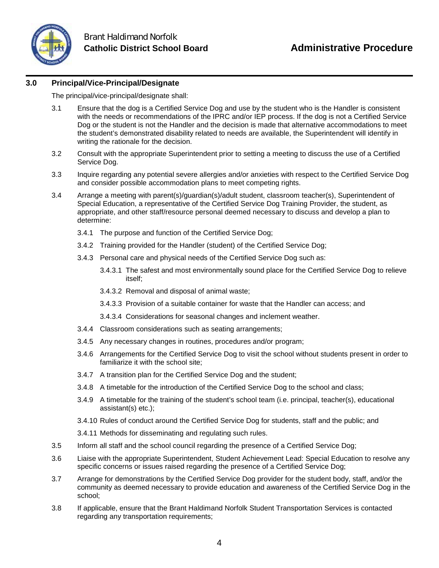

#### **3.0 Principal/Vice-Principal/Designate**

The principal/vice-principal/designate shall:

- 3.1 Ensure that the dog is a Certified Service Dog and use by the student who is the Handler is consistent with the needs or recommendations of the IPRC and/or IEP process. If the dog is not a Certified Service Dog or the student is not the Handler and the decision is made that alternative accommodations to meet the student's demonstrated disability related to needs are available, the Superintendent will identify in writing the rationale for the decision.
- 3.2 Consult with the appropriate Superintendent prior to setting a meeting to discuss the use of a Certified Service Dog.
- 3.3 Inquire regarding any potential severe allergies and/or anxieties with respect to the Certified Service Dog and consider possible accommodation plans to meet competing rights.
- 3.4 Arrange a meeting with parent(s)/guardian(s)/adult student, classroom teacher(s), Superintendent of Special Education, a representative of the Certified Service Dog Training Provider, the student, as appropriate, and other staff/resource personal deemed necessary to discuss and develop a plan to determine:
	- 3.4.1 The purpose and function of the Certified Service Dog;
	- 3.4.2 Training provided for the Handler (student) of the Certified Service Dog;
	- 3.4.3 Personal care and physical needs of the Certified Service Dog such as:
		- 3.4.3.1 The safest and most environmentally sound place for the Certified Service Dog to relieve itself;
		- 3.4.3.2 Removal and disposal of animal waste;
		- 3.4.3.3 Provision of a suitable container for waste that the Handler can access; and
		- 3.4.3.4 Considerations for seasonal changes and inclement weather.
	- 3.4.4 Classroom considerations such as seating arrangements;
	- 3.4.5 Any necessary changes in routines, procedures and/or program;
	- 3.4.6 Arrangements for the Certified Service Dog to visit the school without students present in order to familiarize it with the school site;
	- 3.4.7 A transition plan for the Certified Service Dog and the student;
	- 3.4.8 A timetable for the introduction of the Certified Service Dog to the school and class;
	- 3.4.9 A timetable for the training of the student's school team (i.e. principal, teacher(s), educational assistant(s) etc.);
	- 3.4.10 Rules of conduct around the Certified Service Dog for students, staff and the public; and
	- 3.4.11 Methods for disseminating and regulating such rules.
- 3.5 Inform all staff and the school council regarding the presence of a Certified Service Dog;
- 3.6 Liaise with the appropriate Superintendent, Student Achievement Lead: Special Education to resolve any specific concerns or issues raised regarding the presence of a Certified Service Dog;
- 3.7 Arrange for demonstrations by the Certified Service Dog provider for the student body, staff, and/or the community as deemed necessary to provide education and awareness of the Certified Service Dog in the school;
- 3.8 If applicable, ensure that the Brant Haldimand Norfolk Student Transportation Services is contacted regarding any transportation requirements;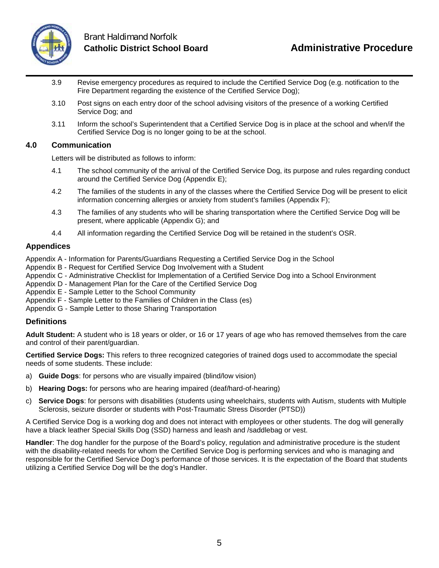

- 3.9 Revise emergency procedures as required to include the Certified Service Dog (e.g. notification to the Fire Department regarding the existence of the Certified Service Dog);
- 3.10 Post signs on each entry door of the school advising visitors of the presence of a working Certified Service Dog; and
- 3.11 Inform the school's Superintendent that a Certified Service Dog is in place at the school and when/if the Certified Service Dog is no longer going to be at the school.

#### **4.0 Communication**

Letters will be distributed as follows to inform:

- 4.1 The school community of the arrival of the Certified Service Dog, its purpose and rules regarding conduct around the Certified Service Dog (Appendix E);
- 4.2 The families of the students in any of the classes where the Certified Service Dog will be present to elicit information concerning allergies or anxiety from student's families (Appendix F);
- 4.3 The families of any students who will be sharing transportation where the Certified Service Dog will be present, where applicable (Appendix G); and
- 4.4 All information regarding the Certified Service Dog will be retained in the student's OSR.

#### **Appendices**

Appendix A - Information for Parents/Guardians Requesting a Certified Service Dog in the School

- Appendix B Request for Certified Service Dog Involvement with a Student
- Appendix C Administrative Checklist for Implementation of a Certified Service Dog into a School Environment
- Appendix D Management Plan for the Care of the Certified Service Dog
- Appendix E Sample Letter to the School Community
- Appendix F Sample Letter to the Families of Children in the Class (es)
- Appendix G Sample Letter to those Sharing Transportation

#### **Definitions**

**Adult Student:** A student who is 18 years or older, or 16 or 17 years of age who has removed themselves from the care and control of their parent/guardian.

**Certified Service Dogs:** This refers to three recognized categories of trained dogs used to accommodate the special needs of some students. These include:

- a) **Guide Dogs**: for persons who are visually impaired (blind/low vision)
- b) **Hearing Dogs:** for persons who are hearing impaired (deaf/hard-of-hearing)
- c) **Service Dogs**: for persons with disabilities (students using wheelchairs, students with Autism, students with Multiple Sclerosis, seizure disorder or students with Post-Traumatic Stress Disorder (PTSD))

A Certified Service Dog is a working dog and does not interact with employees or other students. The dog will generally have a black leather Special Skills Dog (SSD) harness and leash and /saddlebag or vest.

**Handler**: The dog handler for the purpose of the Board's policy, regulation and administrative procedure is the student with the disability-related needs for whom the Certified Service Dog is performing services and who is managing and responsible for the Certified Service Dog's performance of those services. It is the expectation of the Board that students utilizing a Certified Service Dog will be the dog's Handler.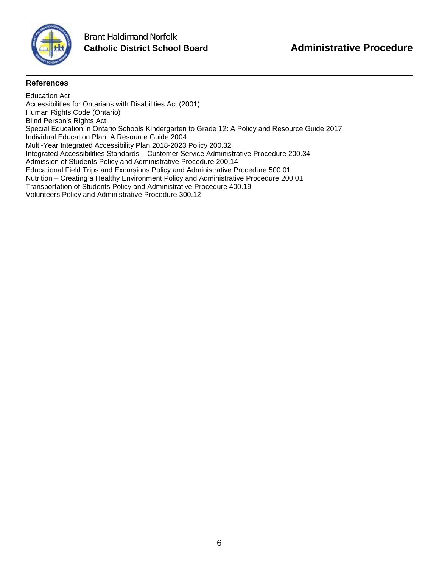

### **References**

Education Act Accessibilities for Ontarians with Disabilities Act (2001) Human Rights Code (Ontario) Blind Person's Rights Act Special Education in Ontario Schools Kindergarten to Grade 12: A Policy and Resource Guide 2017 Individual Education Plan: A Resource Guide 2004 Multi-Year Integrated Accessibility Plan 2018-2023 Policy 200.32 Integrated Accessibilities Standards – Customer Service Administrative Procedure 200.34 Admission of Students Policy and Administrative Procedure 200.14 Educational Field Trips and Excursions Policy and Administrative Procedure 500.01 Nutrition – Creating a Healthy Environment Policy and Administrative Procedure 200.01 Transportation of Students Policy and Administrative Procedure 400.19 Volunteers Policy and Administrative Procedure 300.12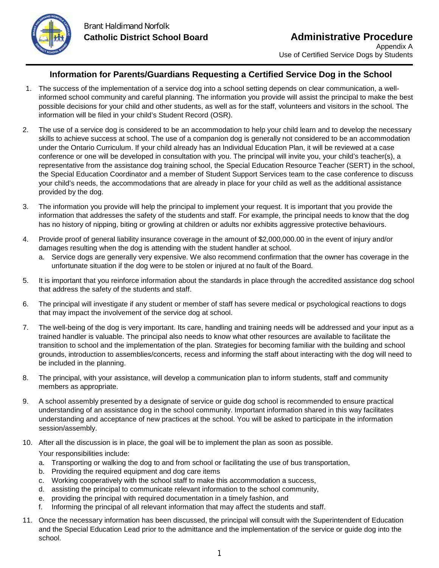

## **Information for Parents/Guardians Requesting a Certified Service Dog in the School**

- 1. The success of the implementation of a service dog into a school setting depends on clear communication, a wellinformed school community and careful planning. The information you provide will assist the principal to make the best possible decisions for your child and other students, as well as for the staff, volunteers and visitors in the school. The information will be filed in your child's Student Record (OSR).
- 2. The use of a service dog is considered to be an accommodation to help your child learn and to develop the necessary skills to achieve success at school. The use of a companion dog is generally not considered to be an accommodation under the Ontario Curriculum. If your child already has an Individual Education Plan, it will be reviewed at a case conference or one will be developed in consultation with you. The principal will invite you, your child's teacher(s), a representative from the assistance dog training school, the Special Education Resource Teacher (SERT) in the school, the Special Education Coordinator and a member of Student Support Services team to the case conference to discuss your child's needs, the accommodations that are already in place for your child as well as the additional assistance provided by the dog.
- 3. The information you provide will help the principal to implement your request. It is important that you provide the information that addresses the safety of the students and staff. For example, the principal needs to know that the dog has no history of nipping, biting or growling at children or adults nor exhibits aggressive protective behaviours.
- 4. Provide proof of general liability insurance coverage in the amount of \$2,000,000.00 in the event of injury and/or damages resulting when the dog is attending with the student handler at school.
	- a. Service dogs are generally very expensive. We also recommend confirmation that the owner has coverage in the unfortunate situation if the dog were to be stolen or injured at no fault of the Board.
- 5. It is important that you reinforce information about the standards in place through the accredited assistance dog school that address the safety of the students and staff.
- 6. The principal will investigate if any student or member of staff has severe medical or psychological reactions to dogs that may impact the involvement of the service dog at school.
- 7. The well-being of the dog is very important. Its care, handling and training needs will be addressed and your input as a trained handler is valuable. The principal also needs to know what other resources are available to facilitate the transition to school and the implementation of the plan. Strategies for becoming familiar with the building and school grounds, introduction to assemblies/concerts, recess and informing the staff about interacting with the dog will need to be included in the planning.
- 8. The principal, with your assistance, will develop a communication plan to inform students, staff and community members as appropriate.
- 9. A school assembly presented by a designate of service or guide dog school is recommended to ensure practical understanding of an assistance dog in the school community. Important information shared in this way facilitates understanding and acceptance of new practices at the school. You will be asked to participate in the information session/assembly.
- 10. After all the discussion is in place, the goal will be to implement the plan as soon as possible. Your responsibilities include:
	- a. Transporting or walking the dog to and from school or facilitating the use of bus transportation,
	- b. Providing the required equipment and dog care items
	- c. Working cooperatively with the school staff to make this accommodation a success,
	- d. assisting the principal to communicate relevant information to the school community,
	- e. providing the principal with required documentation in a timely fashion, and
	- f. Informing the principal of all relevant information that may affect the students and staff.
- 11. Once the necessary information has been discussed, the principal will consult with the Superintendent of Education and the Special Education Lead prior to the admittance and the implementation of the service or guide dog into the school.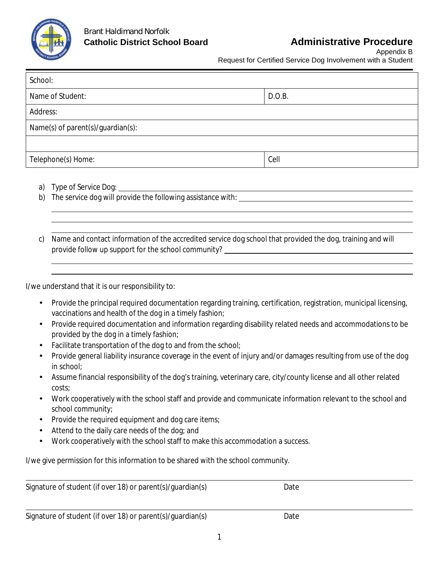

Appendix B

Request for Certified Service Dog Involvement with a Student

<u> 1980 - Johann Barn, mars ann an t-Amhain Aonaich an t-Aonaich an t-Aonaich ann an t-Aonaich ann an t-Aonaich</u>

| School:                           |        |
|-----------------------------------|--------|
| Name of Student:                  | D.O.B. |
| Address:                          |        |
| Name(s) of parent(s)/guardian(s): |        |
|                                   |        |
| Telephone(s) Home:                | Cell   |

- a) Type of Service Dog:
- b) The service dog will provide the following assistance with:
- c) Name and contact information of the accredited service dog school that provided the dog, training and will provide follow up support for the school community?

I/we understand that it is our responsibility to:

- Provide the principal required documentation regarding training, certification, registration, municipal licensing, vaccinations and health of the dog in a timely fashion;
- Provide required documentation and information regarding disability related needs and accommodations to be provided by the dog in a timely fashion;
- Facilitate transportation of the dog to and from the school;
- Provide general liability insurance coverage in the event of injury and/or damages resulting from use of the dog in school;
- Assume financial responsibility of the dog's training, veterinary care, city/county license and all other related costs;
- Work cooperatively with the school staff and provide and communicate information relevant to the school and school community;
- Provide the required equipment and dog care items;
- Attend to the daily care needs of the dog; and
- Work cooperatively with the school staff to make this accommodation a success.

I/we give permission for this information to be shared with the school community.

| Signature of student (if over 18) or parent(s)/guardian(s) | Date |
|------------------------------------------------------------|------|
|                                                            |      |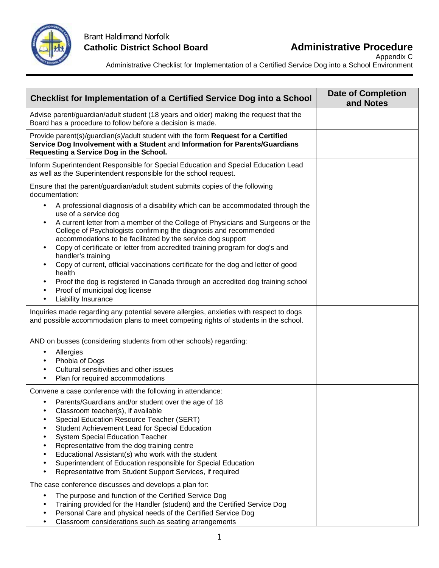

Appendix C

Administrative Checklist for Implementation of a Certified Service Dog into a School Environment

| <b>Checklist for Implementation of a Certified Service Dog into a School</b>                                                                                                                                                                                                                                                                                                                                                                                                                                                                                                                                                                                                                  | <b>Date of Completion</b><br>and Notes |
|-----------------------------------------------------------------------------------------------------------------------------------------------------------------------------------------------------------------------------------------------------------------------------------------------------------------------------------------------------------------------------------------------------------------------------------------------------------------------------------------------------------------------------------------------------------------------------------------------------------------------------------------------------------------------------------------------|----------------------------------------|
| Advise parent/guardian/adult student (18 years and older) making the request that the<br>Board has a procedure to follow before a decision is made.                                                                                                                                                                                                                                                                                                                                                                                                                                                                                                                                           |                                        |
| Provide parent(s)/guardian(s)/adult student with the form Request for a Certified<br>Service Dog Involvement with a Student and Information for Parents/Guardians<br>Requesting a Service Dog in the School.                                                                                                                                                                                                                                                                                                                                                                                                                                                                                  |                                        |
| Inform Superintendent Responsible for Special Education and Special Education Lead<br>as well as the Superintendent responsible for the school request.                                                                                                                                                                                                                                                                                                                                                                                                                                                                                                                                       |                                        |
| Ensure that the parent/guardian/adult student submits copies of the following<br>documentation:                                                                                                                                                                                                                                                                                                                                                                                                                                                                                                                                                                                               |                                        |
| A professional diagnosis of a disability which can be accommodated through the<br>٠<br>use of a service dog<br>A current letter from a member of the College of Physicians and Surgeons or the<br>College of Psychologists confirming the diagnosis and recommended<br>accommodations to be facilitated by the service dog support<br>Copy of certificate or letter from accredited training program for dog's and<br>handler's training<br>Copy of current, official vaccinations certificate for the dog and letter of good<br>health<br>Proof the dog is registered in Canada through an accredited dog training school<br>٠<br>Proof of municipal dog license<br>٠<br>Liability Insurance |                                        |
| Inquiries made regarding any potential severe allergies, anxieties with respect to dogs<br>and possible accommodation plans to meet competing rights of students in the school.                                                                                                                                                                                                                                                                                                                                                                                                                                                                                                               |                                        |
| AND on busses (considering students from other schools) regarding:<br>Allergies<br>$\blacksquare$<br>Phobia of Dogs<br>٠<br>Cultural sensitivities and other issues<br>$\blacksquare$<br>Plan for required accommodations<br>$\blacksquare$                                                                                                                                                                                                                                                                                                                                                                                                                                                   |                                        |
| Convene a case conference with the following in attendance:                                                                                                                                                                                                                                                                                                                                                                                                                                                                                                                                                                                                                                   |                                        |
| Parents/Guardians and/or student over the age of 18<br>Classroom teacher(s), if available<br>Special Education Resource Teacher (SERT)<br>Student Achievement Lead for Special Education<br><b>System Special Education Teacher</b><br>Representative from the dog training centre<br>Educational Assistant(s) who work with the student<br>Superintendent of Education responsible for Special Education<br>Representative from Student Support Services, if required                                                                                                                                                                                                                        |                                        |
| The case conference discusses and develops a plan for:<br>The purpose and function of the Certified Service Dog<br>Training provided for the Handler (student) and the Certified Service Dog<br>Personal Care and physical needs of the Certified Service Dog<br>Classroom considerations such as seating arrangements                                                                                                                                                                                                                                                                                                                                                                        |                                        |

Classroom considerations such as seating arrangements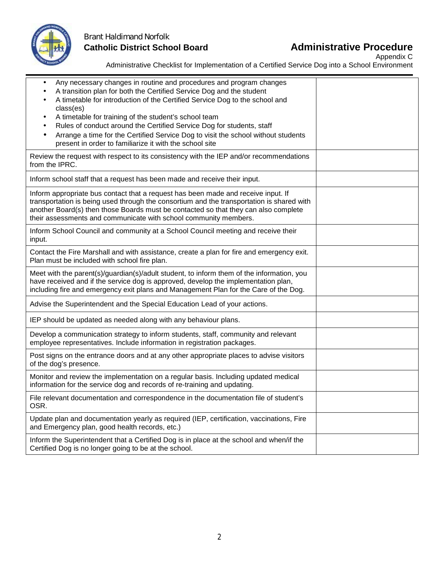

# Brant Haldimand Norfolk **Catholic District School Board Administrative Procedure**

Appendix C

| Administrative Checklist for Implementation of a Certified Service Dog into a School Environment |  |
|--------------------------------------------------------------------------------------------------|--|

| Any necessary changes in routine and procedures and program changes<br>A transition plan for both the Certified Service Dog and the student<br>A timetable for introduction of the Certified Service Dog to the school and<br>class(es)<br>A timetable for training of the student's school team<br>Rules of conduct around the Certified Service Dog for students, staff<br>Arrange a time for the Certified Service Dog to visit the school without students<br>present in order to familiarize it with the school site |  |
|---------------------------------------------------------------------------------------------------------------------------------------------------------------------------------------------------------------------------------------------------------------------------------------------------------------------------------------------------------------------------------------------------------------------------------------------------------------------------------------------------------------------------|--|
| Review the request with respect to its consistency with the IEP and/or recommendations<br>from the IPRC.                                                                                                                                                                                                                                                                                                                                                                                                                  |  |
| Inform school staff that a request has been made and receive their input.                                                                                                                                                                                                                                                                                                                                                                                                                                                 |  |
| Inform appropriate bus contact that a request has been made and receive input. If<br>transportation is being used through the consortium and the transportation is shared with<br>another Board(s) then those Boards must be contacted so that they can also complete<br>their assessments and communicate with school community members.                                                                                                                                                                                 |  |
| Inform School Council and community at a School Council meeting and receive their<br>input.                                                                                                                                                                                                                                                                                                                                                                                                                               |  |
| Contact the Fire Marshall and with assistance, create a plan for fire and emergency exit.<br>Plan must be included with school fire plan.                                                                                                                                                                                                                                                                                                                                                                                 |  |
| Meet with the parent(s)/guardian(s)/adult student, to inform them of the information, you<br>have received and if the service dog is approved, develop the implementation plan,<br>including fire and emergency exit plans and Management Plan for the Care of the Dog.                                                                                                                                                                                                                                                   |  |
| Advise the Superintendent and the Special Education Lead of your actions.                                                                                                                                                                                                                                                                                                                                                                                                                                                 |  |
| IEP should be updated as needed along with any behaviour plans.                                                                                                                                                                                                                                                                                                                                                                                                                                                           |  |
| Develop a communication strategy to inform students, staff, community and relevant<br>employee representatives. Include information in registration packages.                                                                                                                                                                                                                                                                                                                                                             |  |
| Post signs on the entrance doors and at any other appropriate places to advise visitors<br>of the dog's presence.                                                                                                                                                                                                                                                                                                                                                                                                         |  |
| Monitor and review the implementation on a regular basis. Including updated medical<br>information for the service dog and records of re-training and updating.                                                                                                                                                                                                                                                                                                                                                           |  |
| File relevant documentation and correspondence in the documentation file of student's<br>OSR.                                                                                                                                                                                                                                                                                                                                                                                                                             |  |
| Update plan and documentation yearly as required (IEP, certification, vaccinations, Fire<br>and Emergency plan, good health records, etc.)                                                                                                                                                                                                                                                                                                                                                                                |  |
| Inform the Superintendent that a Certified Dog is in place at the school and when/if the<br>Certified Dog is no longer going to be at the school.                                                                                                                                                                                                                                                                                                                                                                         |  |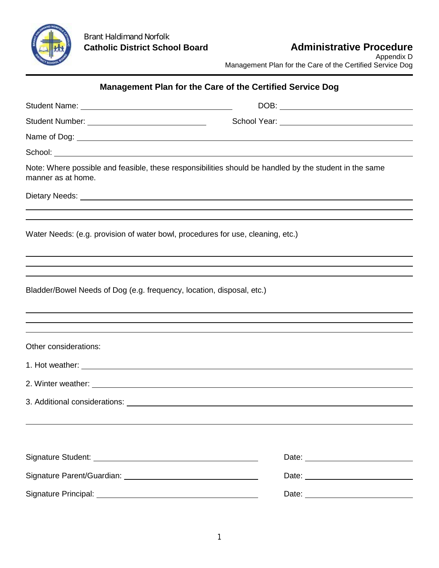

Appendix D Management Plan for the Care of the Certified Service Dog

# **Management Plan for the Care of the Certified Service Dog**

|                                                                                 | School Year: Van Albert Control Control Control Control Control Control Control Control Control Control Control Control Control Control Control Control Control Control Control Control Control Control Control Control Contro |  |
|---------------------------------------------------------------------------------|--------------------------------------------------------------------------------------------------------------------------------------------------------------------------------------------------------------------------------|--|
|                                                                                 |                                                                                                                                                                                                                                |  |
|                                                                                 |                                                                                                                                                                                                                                |  |
| manner as at home.                                                              | Note: Where possible and feasible, these responsibilities should be handled by the student in the same                                                                                                                         |  |
|                                                                                 |                                                                                                                                                                                                                                |  |
|                                                                                 |                                                                                                                                                                                                                                |  |
| Water Needs: (e.g. provision of water bowl, procedures for use, cleaning, etc.) |                                                                                                                                                                                                                                |  |
|                                                                                 |                                                                                                                                                                                                                                |  |
| Bladder/Bowel Needs of Dog (e.g. frequency, location, disposal, etc.)           |                                                                                                                                                                                                                                |  |
| Other considerations:                                                           |                                                                                                                                                                                                                                |  |
|                                                                                 |                                                                                                                                                                                                                                |  |
|                                                                                 |                                                                                                                                                                                                                                |  |
|                                                                                 |                                                                                                                                                                                                                                |  |
|                                                                                 |                                                                                                                                                                                                                                |  |
|                                                                                 |                                                                                                                                                                                                                                |  |
|                                                                                 |                                                                                                                                                                                                                                |  |
|                                                                                 |                                                                                                                                                                                                                                |  |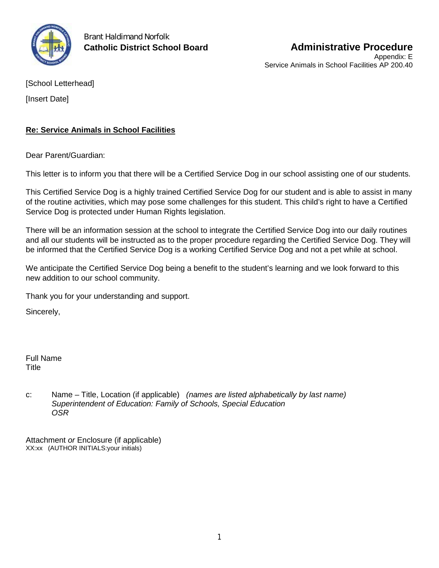

Brant Haldimand Norfolk

[School Letterhead]

[Insert Date]

# **Re: Service Animals in School Facilities**

Dear Parent/Guardian:

This letter is to inform you that there will be a Certified Service Dog in our school assisting one of our students.

This Certified Service Dog is a highly trained Certified Service Dog for our student and is able to assist in many of the routine activities, which may pose some challenges for this student. This child's right to have a Certified Service Dog is protected under Human Rights legislation.

There will be an information session at the school to integrate the Certified Service Dog into our daily routines and all our students will be instructed as to the proper procedure regarding the Certified Service Dog. They will be informed that the Certified Service Dog is a working Certified Service Dog and not a pet while at school.

We anticipate the Certified Service Dog being a benefit to the student's learning and we look forward to this new addition to our school community.

Thank you for your understanding and support.

Sincerely,

Full Name **Title** 

c: Name – Title, Location (if applicable) *(names are listed alphabetically by last name) Superintendent of Education: Family of Schools, Special Education OSR*

Attachment *or* Enclosure (if applicable) XX:xx (AUTHOR INITIALS:your initials)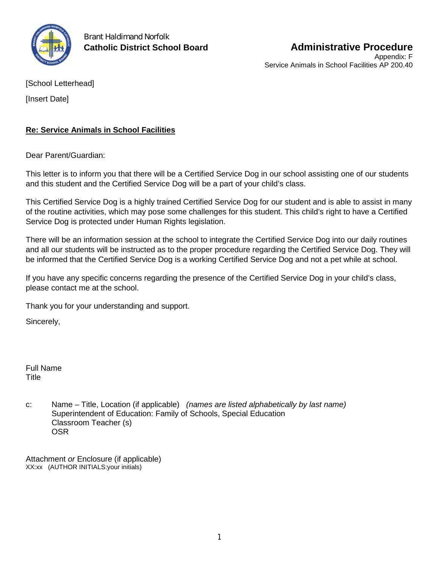

Brant Haldimand Norfolk

[School Letterhead]

[Insert Date]

# **Re: Service Animals in School Facilities**

Dear Parent/Guardian:

This letter is to inform you that there will be a Certified Service Dog in our school assisting one of our students and this student and the Certified Service Dog will be a part of your child's class.

This Certified Service Dog is a highly trained Certified Service Dog for our student and is able to assist in many of the routine activities, which may pose some challenges for this student. This child's right to have a Certified Service Dog is protected under Human Rights legislation.

There will be an information session at the school to integrate the Certified Service Dog into our daily routines and all our students will be instructed as to the proper procedure regarding the Certified Service Dog. They will be informed that the Certified Service Dog is a working Certified Service Dog and not a pet while at school.

If you have any specific concerns regarding the presence of the Certified Service Dog in your child's class, please contact me at the school.

Thank you for your understanding and support.

Sincerely,

Full Name Title

c: Name – Title, Location (if applicable) *(names are listed alphabetically by last name)* Superintendent of Education: Family of Schools, Special Education Classroom Teacher (s) OSR

Attachment *or* Enclosure (if applicable) XX:xx (AUTHOR INITIALS:your initials)